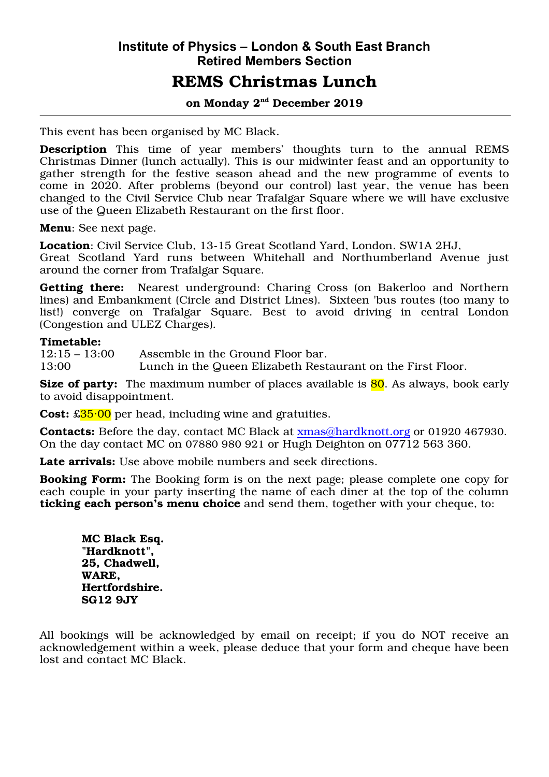# **Institute of Physics – London & South East Branch Retired Members Section**

## REMS Christmas Lunch

#### on Monday 2nd December 2019

This event has been organised by MC Black.

Description This time of year members' thoughts turn to the annual REMS Christmas Dinner (lunch actually). This is our midwinter feast and an opportunity to gather strength for the festive season ahead and the new programme of events to come in 2020. After problems (beyond our control) last year, the venue has been changed to the Civil Service Club near Trafalgar Square where we will have exclusive use of the Queen Elizabeth Restaurant on the first floor.

Menu: See next page.

Location: Civil Service Club, 13-15 Great Scotland Yard, London. SW1A 2HJ, Great Scotland Yard runs between Whitehall and Northumberland Avenue just around the corner from Trafalgar Square.

Getting there: Nearest underground: Charing Cross (on Bakerloo and Northern lines) and Embankment (Circle and District Lines). Sixteen 'bus routes (too many to list!) converge on Trafalgar Square. Best to avoid driving in central London (Congestion and ULEZ Charges).

#### Timetable:

12:15 – 13:00 Assemble in the Ground Floor bar. 13:00 Lunch in the Queen Elizabeth Restaurant on the First Floor.

Size of party: The maximum number of places available is 80. As always, book early to avoid disappointment.

**Cost:**  $\pounds 35.00$  per head, including wine and gratuities.

Contacts: Before the day, contact MC Black at xmas@hardknott.org or 01920 467930. On the day contact MC on 07880 980 921 or Hugh Deighton on 07712 563 360.

Late arrivals: Use above mobile numbers and seek directions.

Booking Form: The Booking form is on the next page; please complete one copy for each couple in your party inserting the name of each diner at the top of the column ticking each person's menu choice and send them, together with your cheque, to:

MC Black Esq. "Hardknott", 25, Chadwell, WARE, Hertfordshire. SG12 9JY

All bookings will be acknowledged by email on receipt; if you do NOT receive an acknowledgement within a week, please deduce that your form and cheque have been lost and contact MC Black.